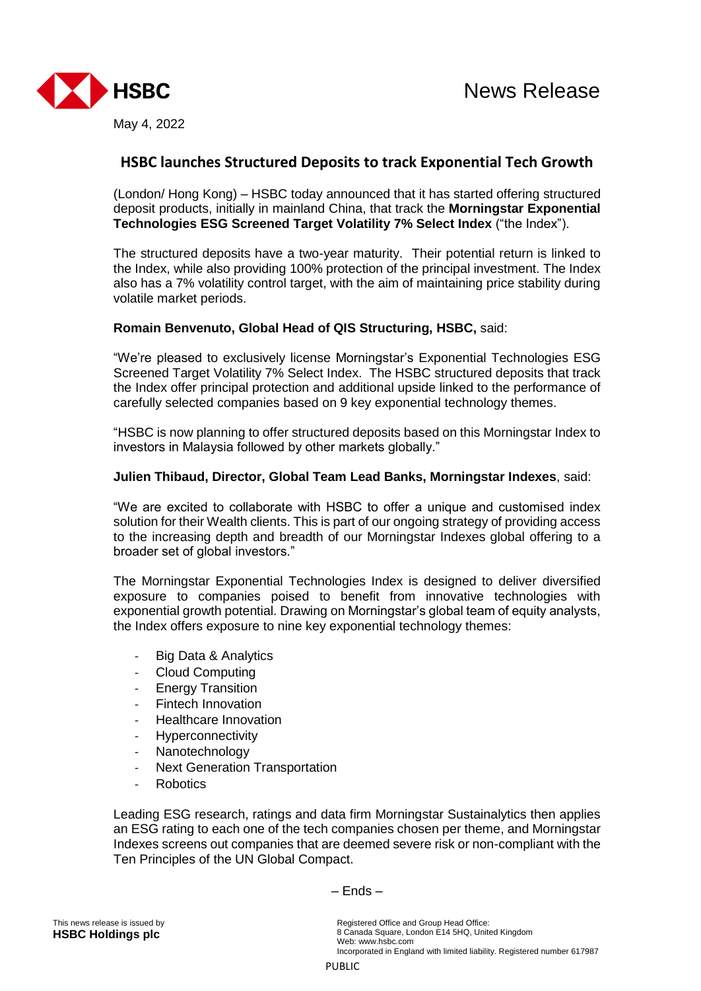

# **HSBC launches Structured Deposits to track Exponential Tech Growth**

(London/ Hong Kong) – HSBC today announced that it has started offering structured deposit products, initially in mainland China, that track the **Morningstar Exponential Technologies ESG Screened Target Volatility 7% Select Index** ("the Index").

The structured deposits have a two-year maturity. Their potential return is linked to the Index, while also providing 100% protection of the principal investment. The Index also has a 7% volatility control target, with the aim of maintaining price stability during volatile market periods.

## **Romain Benvenuto, Global Head of QIS Structuring, HSBC,** said:

"We're pleased to exclusively license Morningstar's Exponential Technologies ESG Screened Target Volatility 7% Select Index. The HSBC structured deposits that track the Index offer principal protection and additional upside linked to the performance of carefully selected companies based on 9 key exponential technology themes.

"HSBC is now planning to offer structured deposits based on this Morningstar Index to investors in Malaysia followed by other markets globally."

## **Julien Thibaud, Director, Global Team Lead Banks, Morningstar Indexes**, said:

"We are excited to collaborate with HSBC to offer a unique and customised index solution for their Wealth clients. This is part of our ongoing strategy of providing access to the increasing depth and breadth of our Morningstar Indexes global offering to a broader set of global investors."

The Morningstar Exponential Technologies Index is designed to deliver diversified exposure to companies poised to benefit from innovative technologies with exponential growth potential. Drawing on Morningstar's global team of equity analysts, the Index offers exposure to nine key exponential technology themes:

- Big Data & Analytics
- Cloud Computing
- **Energy Transition**
- Fintech Innovation
- Healthcare Innovation
- **Hyperconnectivity**
- Nanotechnology
- Next Generation Transportation
- **Robotics**

Leading ESG research, ratings and data firm Morningstar Sustainalytics then applies an ESG rating to each one of the tech companies chosen per theme, and Morningstar Indexes screens out companies that are deemed severe risk or non-compliant with the Ten Principles of the UN Global Compact.

– Ends –